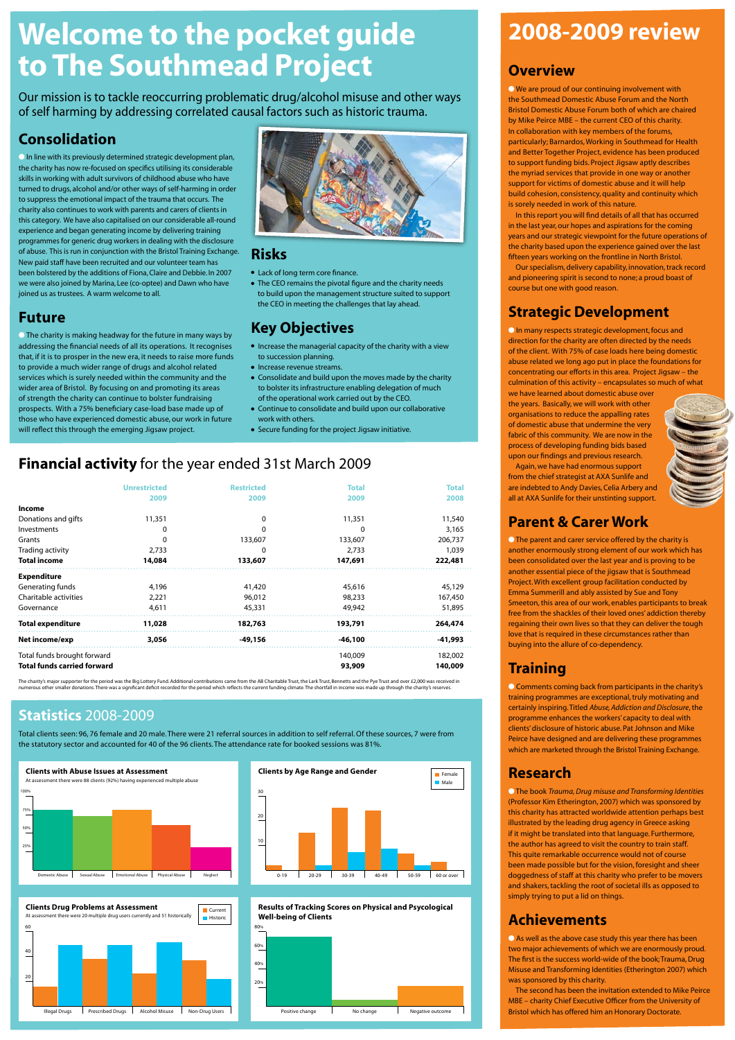## **Financial activity** for the year ended 31st March 2009

|                                    | <b>Unrestricted</b> | <b>Restricted</b> | <b>Total</b> | <b>Total</b> |
|------------------------------------|---------------------|-------------------|--------------|--------------|
|                                    | 2009                | 2009              | 2009         | 2008         |
| Income                             |                     |                   |              |              |
| Donations and gifts                | 11,351              | 0                 | 11,351       | 11,540       |
| <b>Investments</b>                 | 0                   | 0                 | 0            | 3,165        |
| Grants                             | $\mathbf 0$         | 133,607           | 133,607      | 206,737      |
| Trading activity                   | 2,733               | 0                 | 2,733        | 1,039        |
| <b>Total income</b>                | 14,084              | 133,607           | 147,691      | 222,481      |
| <b>Expenditure</b>                 |                     |                   |              |              |
| Generating funds                   | 4,196               | 41,420            | 45,616       | 45,129       |
| Charitable activities              | 2,221               | 96,012            | 98,233       | 167,450      |
| Governance                         | 4,611               | 45,331            | 49,942       | 51,895       |
| <b>Total expenditure</b>           | 11,028              | 182,763           | 193,791      | 264,474      |
| Net income/exp                     | 3,056               | $-49,156$         | $-46,100$    | -41,993      |
| Total funds brought forward        |                     |                   | 140,009      | 182,002      |
| <b>Total funds carried forward</b> |                     |                   | 93,909       | 140,009      |

The charity's major supporter for the period was the Big Lottery Fund. Additional contributions came from the AB Charitable Trust, the Lark Trust, Bennetts and the Pye Trust and over £2,000 was received in numerous other smaller donations. There was a significant deficit recorded for the period which reflects the current funding climate. The shortfall in income was made up through the charity's reserves.

**O** We are proud of our continuing involvement with the Southmead Domestic Abuse Forum and the North Bristol Domestic Abuse Forum both of which are chaired by Mike Peirce MBE – the current CEO of this charity. In collaboration with key members of the forums, particularly; Barnardos, Working in Southmead for Health and Better Together Project, evidence has been produced to support funding bids. Project Jigsaw aptly describes the myriad services that provide in one way or another support for victims of domestic abuse and it will help build cohesion, consistency, quality and continuity which is sorely needed in work of this nature.

## **Welcome to the pocket guide to The Southmead Project**

Our mission is to tackle reoccurring problematic drug/alcohol misuse and other ways of self harming by addressing correlated causal factors such as historic trauma.

## **2008-2009 review**

## **Overview**

**O** In many respects strategic development, focus and direction for the charity are often directed by the needs of the client. With 75% of case loads here being domestic abuse related we long ago put in place the foundations for concentrating our efforts in this area. Project Jigsaw – the culmination of this activity – encapsulates so much of what

 $\bullet$  The parent and carer service offered by the charity is another enormously strong element of our work which has been consolidated over the last year and is proving to be another essential piece of the jigsaw that is Southmead Project. With excellent group facilitation conducted by Emma Summerill and ably assisted by Sue and Tony Smeeton, this area of our work, enables participants to break free from the shackles of their loved ones' addiction thereby regaining their own lives so that they can deliver the tough love that is required in these circumstances rather than buying into the allure of co-dependency.

In this report you will find details of all that has occurred in the last year, our hopes and aspirations for the coming years and our strategic viewpoint for the future operations of the charity based upon the experience gained over the last fifteen years working on the frontline in North Bristol.

**C** Comments coming back from participants in the charity's training programmes are exceptional, truly motivating and certainly inspiring. Titled *Abuse, Addiction and Disclosure*, the programme enhances the workers' capacity to deal with clients' disclosure of historic abuse. Pat Johnson and Mike Peirce have designed and are delivering these programmes which are marketed through the Bristol Training Exchange.

Our specialism, delivery capability, innovation, track record and pioneering spirit is second to none; a proud boast of course but one with good reason.

## **Strategic Development**

 $\bullet$  As well as the above case study this year there has been two major achievements of which we are enormously proud. The first is the success world-wide of the book; Trauma, Drug Misuse and Transforming Identities (Etherington 2007) which was sponsored by this charity.

**Clients with Abuse Issues at Assessment**  $\frac{1}{2}$ nt there were 88 clients (92%) having experienced multiple abuse we have learned about domestic abuse over the years. Basically, we will work with other organisations to reduce the appalling rates of domestic abuse that undermine the very fabric of this community. We are now in the process of developing funding bids based upon our findings and previous research.

Again, we have had enormous support from the chief strategist at AXA Sunlife and are indebted to Andy Davies, Celia Arbery and all at AXA Sunlife for their unstinting support.



In line with its previously determined strategic development plan, the charity has now re-focused on specifics utilising its considerable skills in working with adult survivors of childhood abuse who have turned to drugs, alcohol and/or other ways of self-harming in order to suppress the emotional impact of the trauma that occurs. The charity also continues to work with parents and carers of clients in this category. We have also capitalised on our considerable all-round experience and began generating income by delivering training programmes for generic drug workers in dealing with the disclosure of abuse. This is run in conjunction with the Bristol Training Exchange. New paid staff have been recruited and our volunteer team has been bolstered by the additions of Fiona, Claire and Debbie. In 2007 we were also joined by Marina, Lee (co-optee) and Dawn who have joined us as trustees. A warm welcome to all.

## **Training**

**I** The charity is making headway for the future in many ways by addressing the financial needs of all its operations. It recognises that, if it is to prosper in the new era, it needs to raise more funds to provide a much wider range of drugs and alcohol related services which is surely needed within the community and the wider area of Bristol. By focusing on and promoting its areas of strength the charity can continue to bolster fundraising prospects. With a 75% beneficiary case-load base made up of those who have experienced domestic abuse, our work in future will reflect this through the emerging Jigsaw project.



- Lack of long term core finance.
- The CEO remains the pivotal figure and the charity needs to build upon the management structure suited to support the CEO in meeting the challenges that lay ahead.

## **Research**

 $F$ Female

l The book *Trauma, Drug misuse and Transforming Identities* (Professor Kim Etherington, 2007) which was sponsored by this charity has attracted worldwide attention perhaps best illustrated by the leading drug agency in Greece asking if it might be translated into that language. Furthermore, the author has agreed to visit the country to train staff. This quite remarkable occurrence would not of course been made possible but for the vision, foresight and sheer doggedness of staff at this charity who prefer to be movers and shakers, tackling the root of societal ills as opposed to simply trying to put a lid on things.

### **Achievements**

The second has been the invitation extended to Mike Peirce MBE – charity Chief Executive Officer from the University of Bristol which has offered him an Honorary Doctorate.

## **Statistics** 2008-2009

Total clients seen: 96, 76 female and 20 male. There were 21 referral sources in addition to self referral. Of these sources, 7 were from the statutory sector and accounted for 40 of the 96 clients. The attendance rate for booked sessions was 81%.



## **Consolidation**

## **Future**

## **Risks**

## **Key Objectives**

- $\bullet$  Increase the managerial capacity of the charity with a view to succession planning.
- Increase revenue streams.
- Consolidate and build upon the moves made by the charity to bolster its infrastructure enabling delegation of much of the operational work carried out by the CEO.
- Continue to consolidate and build upon our collaborative work with others.
- Secure funding for the project Jigsaw initiative.